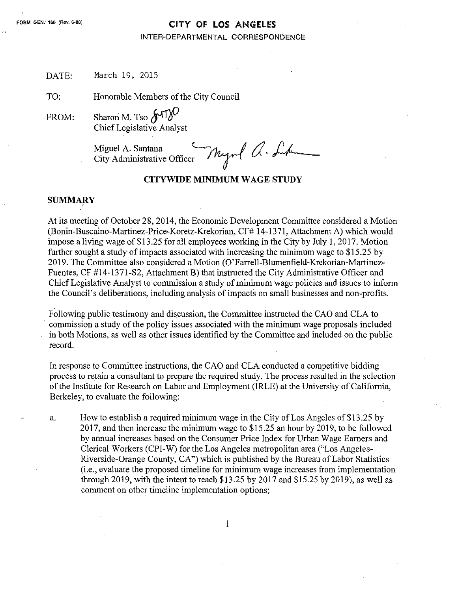# FORM GEN. 160 (Rev. 6-80) CITY OF LOS ANGELES

#### INTER-DEPARTMENTAL CORRESPONDENCE

DATE: March 19, 2015

TO: Honorable Members of the City Council

FROM: Sharon M. Tso  $\int \sqrt{1} \, \sqrt{1} \, \sqrt{1} \, \sqrt{1} \, \sqrt{1} \, \sqrt{1} \, \sqrt{1} \, \sqrt{1} \, \sqrt{1} \, \sqrt{1} \, \sqrt{1} \, \sqrt{1} \, \sqrt{1} \, \sqrt{1} \, \sqrt{1} \, \sqrt{1} \, \sqrt{1} \, \sqrt{1} \, \sqrt{1} \, \sqrt{1} \, \sqrt{1} \, \sqrt{1} \, \sqrt{1} \, \sqrt{1} \, \sqrt{1} \, \sqrt{1} \, \sqrt{1} \, \sqrt{1} \, \sqrt$ Chief Legislative Analyst

> Miguel A. Santana City Administrative Officer

Myrl Q. Like

#### CITYWIDE MINIMUM WAGE STUDY

#### SUMMARY

At its meeting of October 28, 2014, the Economic Development Committee considered a Motion (Bonin-Buscaino-Martinez-Price-Koretz-Krekorian, CF# 14-1371, Attachment A) which would impose a living wage of \$13.25 for all employees working in the City by July 1, 2017. Motion further sought a study of impacts associated with increasing the minimum wage to \$15.25 by 2019. The Committee also considered a Motion (O'Farrell-Blumenfield-Krekorian-Martinez-Fuentes, CF #14-1371-S2, Attachment B) that instructed the City Administrative Officer and Chief Legislative Analyst to commission a study of minimum wage policies and issues to inform the Council's deliberations, including analysis of impacts on small businesses and non-profits.

Following public testimony and discussion, the Committee instructed the CAO and CLA to commission a study of the policy issues associated with the minimum wage proposals included in both Motions, as well as other issues identified by the Committee and included on the public record.

In response to Committee instructions, the CAO and CLA conducted a competitive bidding process to retain a consultant to prepare the required study. The process resulted in the selection of the Institute for Research on Labor and Employment (IRLE) at the University of California, Berkeley, to evaluate the following:

a. How to establish a required minimum wage in the City of Los Angeles of \$13.25 by 2017, and then increase the minimum wage to \$15.25 an hour by 2019, to be followed by annual increases based on the Consumer Price Index for Urban Wage Earners and Clerical Workers (CPI-W) for the Los Angeles metropolitan area ("Los Angeles-Riverside-Orange County, CA") which is published by the Bureau of Labor Statistics (i.e., evaluate the proposed timeline for minimum wage increases from implementation through 2019, with the intent to reach \$13.25 by 2017 and \$15.25 by 2019), as well as comment on other timeline implementation options;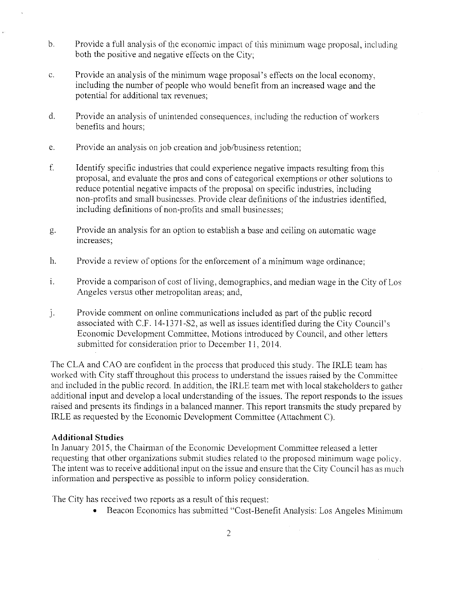- $b$ Provide a full analysis of the economic impact of this minimum wage proposal, including both the positive and negative effects on the City;
- c. Provide an analysis of the minimum wage proposal's effects on the local economy, including the number of people who would benefit from an increased wage and the potential for additional tax revenues;
- d. Provide an analysis of unintended consequences, including the reduction of workers benefits and hours;
- e. Provide an analysis on job creation and job/business retention;
- f. Identify specific industries that could experience negative impacts resulting from this proposal, and evaluate the pros and cons of categorical exemptions or other solutions to reduce potential negative impacts of the proposal on specific industries, including non-profits and small businesses. Provide clear definitions of the industries identified, including definitions of non-profits and small businesses;
- g. Provide an analysis for an option to establish a base and ceiling on automatic wage increases;
- h. Provide a review of options for the enforcement of a minimum wage ordinance;
- i. Provide a comparison of cost of living, demographics, and median wage in the City of Los Angeles versus other metropolitan areas; and,
- $\mathbf{j}$ . Provide comment on online communications included as part of the public record associated with C.F. 14-137I-S2, as well as issues identified during the City Council's Economic Development Committee, Motions introduced by Council, and other letters submitted for consideration prior to December 11, 2014.

The CLA and CAO are confident in the process that produced this study. The 1RLE team has worked with City staff throughout this process to understand the issues raised by the Committee and included in the public record. In addition, the IRLE team met with local stakeholders to gather additional input and develop a local understanding of the issues. The report responds to the issues raised and presents its findings in a balanced manner. This report transmits the study prepared by IRLE as requested by the Economic Development Committee (Attachment C).

## Additional Studies

In January 2015, the Chairman of the Economic Development Committee released a letter requesting that other organizations submit studies related to the proposed minimum wage policy. The intent was to receive additional input on the issue and ensure that the City Council has as much information and perspective as possible to inform policy consideration.

The City has received two reports as a result of this request:

• Beacon Economics has submitted "Cost-Benefit Analysis: Los Angeles Minimum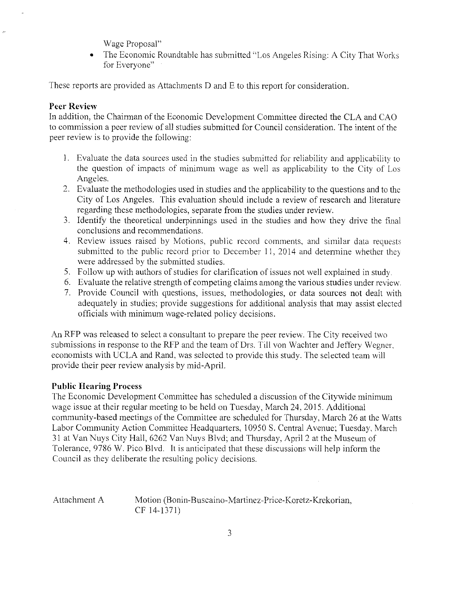Wage Proposal"

• The Economic Roundtable has submitted "Los Angeles Rising: A City That Works" for Everyone"

These reports are provided as Attachments D and E to this report for consideration.

## Peer Review

In addition, the Chairman of the Economic Development Committee directed the CLA and CAO to commission a peer review of all studies submitted for Council consideration. The intent of the peer review is to provide the following:

- . Evaluate the data sources used in the studies submitted for reliability and applicability to the question of impacts of minimum wage as well as applicability to the City of Los Angeles.
- 2. Evaluate the methodologies used in studies and the applicability to the questions and to the City of Los Angeles. This evaluation should include a review of research and literature regarding these methodologies, separate from the studies under review.
- 3. Identify the theoretical underpinnings used in the studies and how they drive the final conclusions and recommendations.
- 4. Review issues raised by Motions, public record comments, and similar data requests submitted to the public record prior to December 11, 2014 and determine whether they were addressed by the submitted studies.
- 5. Follow up with authors of studies for clarification of issues not well explained in study.
- 6. Evaluate the relative strength of competing claims among the various studies under review.
- 7. Provide Council with questions, issues, methodologies, or data sources not dealt with adequately in studies; provide suggestions for additional analysis that may assist elected officials with minimum wage-related policy decisions.

An RFP was released to select a consultant to prepare the peer review. The City received two submissions in response to the RFP and the team of Drs. Till von Wachter and Jeffery Wegner. economists with UCLA and Rand, was selected to provide this study. The selected team will provide their peer review analysis by mid-April.

## Public Hearing Process

The Economic Development Committee has scheduled a discussion of the Citywide minimum wage issue at their regular meeting to be held on Tuesday, March 24, 2015. Additional community-based meetings of the Committee are scheduled for Thursday, March 26 at the Watts Labor Community Action Committee Headquarters, 10950 S. Central Avenue; Tuesday, March 31 at Van Nuys City Hall, 6262 Van Nuys Blvd; and Thursday, April 2 at the Museum of Tolerance, 9786 W. Pico Blvd. It is anticipated that these discussions will help inform the Council as they deliberate the resulting policy decisions.

Attachment A Motion (Bonin-Busca no-Martinez-Price-Koretz-Krekorian, CF 14-1371)